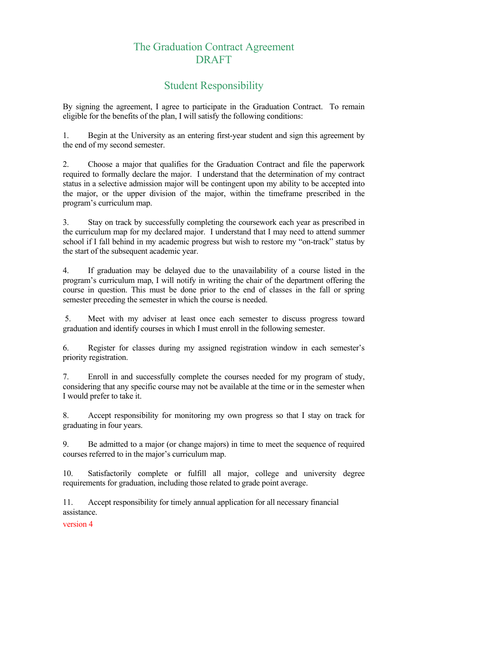## The Graduation Contract Agreement DRAFT

## Student Responsibility

By signing the agreement, I agree to participate in the Graduation Contract. To remain eligible for the benefits of the plan, I will satisfy the following conditions:

1. Begin at the University as an entering first-year student and sign this agreement by the end of my second semester.

2. Choose a major that qualifies for the Graduation Contract and file the paperwork required to formally declare the major. I understand that the determination of my contract status in a selective admission major will be contingent upon my ability to be accepted into the major, or the upper division of the major, within the timeframe prescribed in the program's curriculum map.

3. Stay on track by successfully completing the coursework each year as prescribed in the curriculum map for my declared major. I understand that I may need to attend summer school if I fall behind in my academic progress but wish to restore my "on-track" status by the start of the subsequent academic year.

4. If graduation may be delayed due to the unavailability of a course listed in the program's curriculum map, I will notify in writing the chair of the department offering the course in question. This must be done prior to the end of classes in the fall or spring semester preceding the semester in which the course is needed.

 5. Meet with my adviser at least once each semester to discuss progress toward graduation and identify courses in which I must enroll in the following semester.

6. Register for classes during my assigned registration window in each semester's priority registration.

7. Enroll in and successfully complete the courses needed for my program of study, considering that any specific course may not be available at the time or in the semester when I would prefer to take it.

8. Accept responsibility for monitoring my own progress so that I stay on track for graduating in four years.

9. Be admitted to a major (or change majors) in time to meet the sequence of required courses referred to in the major's curriculum map.

10. Satisfactorily complete or fulfill all major, college and university degree requirements for graduation, including those related to grade point average.

11. Accept responsibility for timely annual application for all necessary financial assistance.

version 4